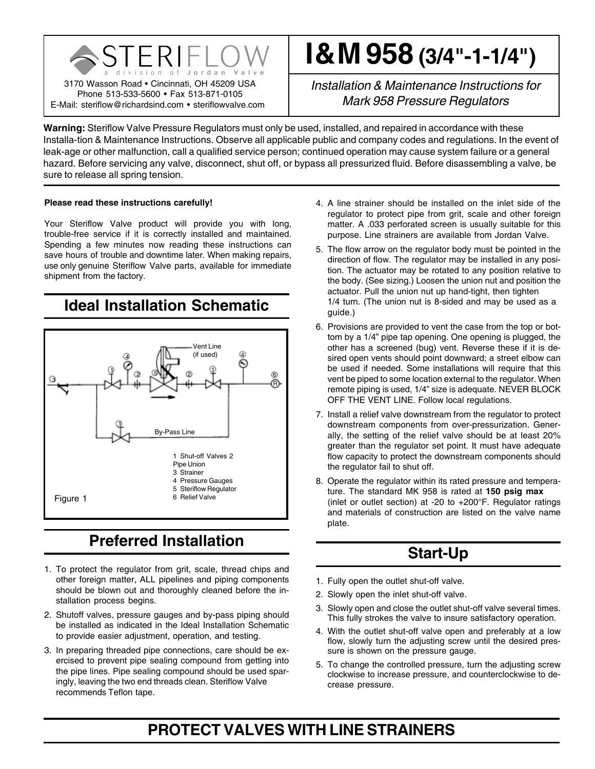

# **I & M 958 (3/4"-1-1/4")**

*Installation & Maintenance Instructions for Mark* 958 *Pressure Regulators*

**Warning:** Steriflow Valve Pressure Regulators must only be used, installed, and repaired in accordance with these Installa-tion & Maintenance Instructions. Observe all applicable public and company codes and regulations. In the event of leak-age or other malfunction, call a qualified service person; continued operation may cause system failure or a general hazard. Before servicing any valve, disconnect, shut off, or bypass all pressurized fluid. Before disassembling a valve, be sure to release all spring tension.

#### **Please read these instructions carefully!**

Your Steriflow Valve product will provide you with long, trouble-free service if it is correctly installed and maintained. Spending a few minutes now reading these instructions can save hours of trouble and downtime later. When making repairs, use only genuine Steriflow Valve parts, available for immediate shipment from the factory.

**Ideal Installation Schematic**



# **Preferred Installation**

- 1. To protect the regulator from grit, scale, thread chips and other foreign matter, ALL pipelines and piping components should be blown out and thoroughly cleaned before the installation process begins.
- 2. Shutoff valves, pressure gauges and by-pass piping should be installed as indicated in the Ideal Installation Schematic to provide easier adjustment, operation, and testing.
- 3. In preparing threaded pipe connections, care should be exercised to prevent pipe sealing compound from getting into the pipe lines. Pipe sealing compound should be used sparingly, leaving the two end threads clean. Steriflow Valve recommends Teflon tape.
- 4. A line strainer should be installed on the inlet side of the regulator to protect pipe from grit, scale and other foreign matter. A .033 perforated screen is usually suitable for this purpose. Line strainers are available from Jordan Valve.
- 5. The flow arrow on the regulator body must be pointed in the direction of flow. The regulator may be installed in any position. The actuator may be rotated to any position relative to the body. (See sizing.) Loosen the union nut and position the actuator. Pull the union nut up hand-tight, then tighten 1/4 turn. (The union nut is 8-sided and may be used as a guide.)
- 6. Provisions are provided to vent the case from the top or bottom by a 1/4" pipe tap opening. One opening is plugged, the other has a screened (bug) vent. Reverse these if it is desired open vents should point downward; a street elbow can be used if needed. Some installations will require that this vent be piped to some location external to the regulator. When remote piping is used, 1/4" size is adequate. NEVER BLOCK OFF THE VENT LINE. Follow local regulations.
- 7. Install a relief valve downstream from the regulator to protect downstream components from over-pressurization. Generally, the setting of the relief valve should be at least 20% greater than the regulator set point. It must have adequate flow capacity to protect the downstream components should the regulator fail to shut off.
- 8. Operate the regulator within its rated pressure and temperature. The standard MK 958 is rated at **150 psig max** (inlet or outlet section) at -20 to +200°F. Regulator ratings and materials of construction are listed on the valve name plate.

# **Start-Up**

- 1. Fully open the outlet shut-off valve.
- 2. Slowly open the inlet shut-off valve.
- 3. Slowly open and close the outlet shut-off valve several times. This fully strokes the valve to insure satisfactory operation.
- 4. With the outlet shut-off valve open and preferably at a low flow, slowly turn the adjusting screw until the desired pressure is shown on the pressure gauge.
- 5. To change the controlled pressure, turn the adjusting screw clockwise to increase pressure, and counterclockwise to decrease pressure.

# **PROTECT VALVES WITH LINE STRAINERS**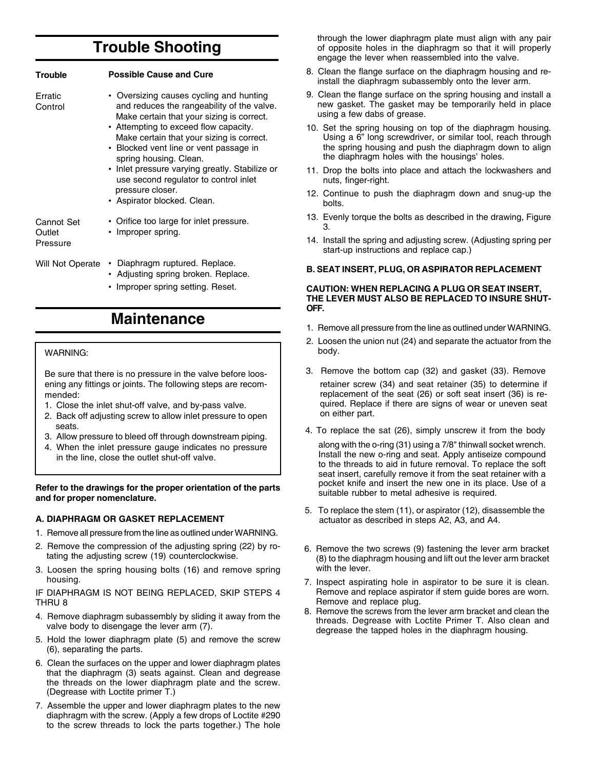# **Trouble Shooting**

| <b>Trouble</b>                   | <b>Possible Cause and Cure</b>                                                                                                                                                                                                                                                                                                                                                                                                             |
|----------------------------------|--------------------------------------------------------------------------------------------------------------------------------------------------------------------------------------------------------------------------------------------------------------------------------------------------------------------------------------------------------------------------------------------------------------------------------------------|
| Erratic<br>Control               | • Oversizing causes cycling and hunting<br>and reduces the rangeability of the valve.<br>Make certain that your sizing is correct.<br>• Attempting to exceed flow capacity.<br>Make certain that your sizing is correct.<br>• Blocked vent line or vent passage in<br>spring housing. Clean.<br>• Inlet pressure varying greatly. Stabilize or<br>use second regulator to control inlet<br>pressure closer.<br>• Aspirator blocked. Clean. |
| Cannot Set<br>Outlet<br>Pressure | • Orifice too large for inlet pressure.<br>• Improper spring.                                                                                                                                                                                                                                                                                                                                                                              |
| Will Not Operate                 | Diaphragm ruptured. Replace.<br>٠<br>• Adjusting spring broken. Replace.                                                                                                                                                                                                                                                                                                                                                                   |

• Improper spring setting. Reset.

### **Maintenance**

#### WARNING:

Be sure that there is no pressure in the valve before loosening any fittings or joints. The following steps are recommended:

- 1. Close the inlet shut-off valve, and by-pass valve.
- 2. Back off adjusting screw to allow inlet pressure to open seats.
- 3. Allow pressure to bleed off through downstream piping.
- 4. When the inlet pressure gauge indicates no pressure in the line, close the outlet shut-off valve.

**Refer to the drawings for the proper orientation of the parts and for proper nomenclature.**

#### **A. DIAPHRAGM OR GASKET REPLACEMENT**

- 1. Remove all pressure from the line as outlined under WARNING.
- 2. Remove the compression of the adjusting spring (22) by rotating the adjusting screw (19) counterclockwise.
- 3. Loosen the spring housing bolts (16) and remove spring housing.

IF DIAPHRAGM IS NOT BEING REPLACED, SKIP STEPS 4 THRU 8

- 4. Remove diaphragm subassembly by sliding it away from the valve body to disengage the lever arm (7).
- 5. Hold the lower diaphragm plate (5) and remove the screw (6), separating the parts.
- 6. Clean the surfaces on the upper and lower diaphragm plates that the diaphragm (3) seats against. Clean and degrease the threads on the lower diaphragm plate and the screw. (Degrease with Loctite primer T.)
- 7. Assemble the upper and lower diaphragm plates to the new diaphragm with the screw. (Apply a few drops of Loctite #290 to the screw threads to lock the parts together.) The hole

through the lower diaphragm plate must align with any pair of opposite holes in the diaphragm so that it will properly engage the lever when reassembled into the valve.

- 8. Clean the flange surface on the diaphragm housing and reinstall the diaphragm subassembly onto the lever arm.
- 9. Clean the flange surface on the spring housing and install a new gasket. The gasket may be temporarily held in place using a few dabs of grease.
- 10. Set the spring housing on top of the diaphragm housing. Using a 6" long screwdriver, or similar tool, reach through the spring housing and push the diaphragm down to align the diaphragm holes with the housings' holes.
- 11. Drop the bolts into place and attach the lockwashers and nuts, finger-right.
- 12. Continue to push the diaphragm down and snug-up the bolts.
- 13. Evenly torque the bolts as described in the drawing, Figure 3.
- 14. Install the spring and adjusting screw. (Adjusting spring per start-up instructions and replace cap.)

#### **B. SEAT INSERT, PLUG, OR ASPIRATOR REPLACEMENT**

#### **CAUTION: WHEN REPLACING A PLUG OR SEAT INSERT, THE LEVER MUST ALSO BE REPLACED TO INSURE SHUT-OFF.**

- 1. Remove all pressure from the line as outlined under WARNING.
- 2. Loosen the union nut (24) and separate the actuator from the body.
- 3. Remove the bottom cap (32) and gasket (33). Remove retainer screw (34) and seat retainer (35) to determine if replacement of the seat (26) or soft seat insert (36) is required. Replace if there are signs of wear or uneven seat on either part.
- 4. To replace the sat (26), simply unscrew it from the body

along with the o-ring (31) using a 7/8" thinwall socket wrench. Install the new o-ring and seat. Apply antiseize compound to the threads to aid in future removal. To replace the soft seat insert, carefully remove it from the seat retainer with a pocket knife and insert the new one in its place. Use of a suitable rubber to metal adhesive is required.

- 5. To replace the stem (11), or aspirator (12), disassemble the actuator as described in steps A2, A3, and A4.
- 6. Remove the two screws (9) fastening the lever arm bracket (8) to the diaphragm housing and lift out the lever arm bracket with the lever.
- 7. Inspect aspirating hole in aspirator to be sure it is clean. Remove and replace aspirator if stem guide bores are worn. Remove and replace plug.
- 8. Remove the screws from the lever arm bracket and clean the threads. Degrease with Loctite Primer T. Also clean and degrease the tapped holes in the diaphragm housing.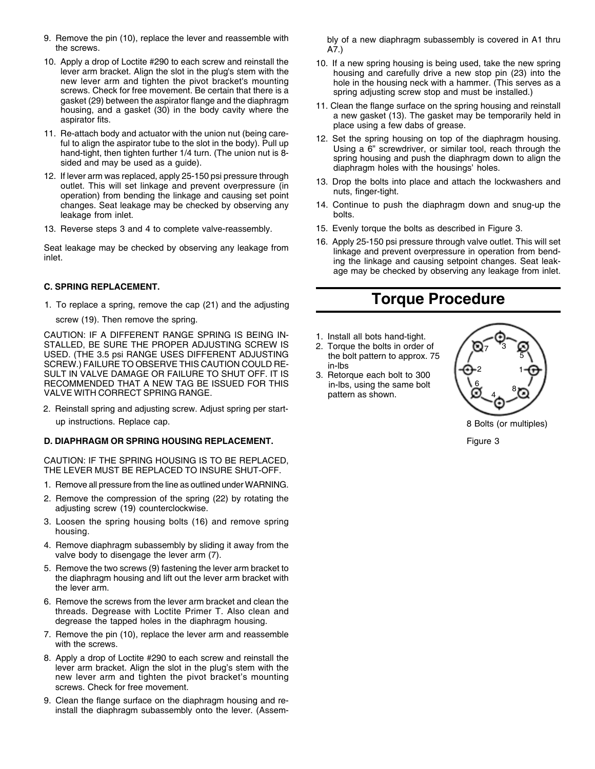- 9. Remove the pin (10), replace the lever and reassemble with the screws.
- 10. Apply a drop of Loctite #290 to each screw and reinstall the lever arm bracket. Align the slot in the plug's stem with the new lever arm and tighten the pivot bracket's mounting screws. Check for free movement. Be certain that there is a gasket (29) between the aspirator flange and the diaphragm housing, and a gasket (30) in the body cavity where the aspirator fits.
- 11. Re-attach body and actuator with the union nut (being careful to align the aspirator tube to the slot in the body). Pull up hand-tight, then tighten further 1/4 turn. (The union nut is 8 sided and may be used as a guide).
- 12. If lever arm was replaced, apply 25-150 psi pressure through outlet. This will set linkage and prevent overpressure (in operation) from bending the linkage and causing set point changes. Seat leakage may be checked by observing any leakage from inlet.
- 13. Reverse steps 3 and 4 to complete valve-reassembly.

Seat leakage may be checked by observing any leakage from inlet.

#### **C. SPRING REPLACEMENT.**

1. To replace a spring, remove the cap (21) and the adjusting screw (19). Then remove the spring.

CAUTION: IF A DIFFERENT RANGE SPRING IS BEING IN-STALLED, BE SURE THE PROPER ADJUSTING SCREW IS USED. (THE 3.5 psi RANGE USES DIFFERENT ADJUSTING SCREW.) FAILURE TO OBSERVE THIS CAUTION COULD RE-SULT IN VALVE DAMAGE OR FAILURE TO SHUT OFF. IT IS RECOMMENDED THAT A NEW TAG BE ISSUED FOR THIS VALVE WITH CORRECT SPRING RANGE.

2. Reinstall spring and adjusting screw. Adjust spring per startup instructions. Replace cap.

#### **D. DIAPHRAGM OR SPRING HOUSING REPLACEMENT.**

CAUTION: IF THE SPRING HOUSING IS TO BE REPLACED, THE LEVER MUST BE REPLACED TO INSURE SHUT-OFF.

- 1. Remove all pressure from the line as outlined under WARNING.
- 2. Remove the compression of the spring (22) by rotating the adjusting screw (19) counterclockwise.
- 3. Loosen the spring housing bolts (16) and remove spring housing.
- 4. Remove diaphragm subassembly by sliding it away from the valve body to disengage the lever arm (7).
- 5. Remove the two screws (9) fastening the lever arm bracket to the diaphragm housing and lift out the lever arm bracket with the lever arm.
- 6. Remove the screws from the lever arm bracket and clean the threads. Degrease with Loctite Primer T. Also clean and degrease the tapped holes in the diaphragm housing.
- 7. Remove the pin (10), replace the lever arm and reassemble with the screws.
- 8. Apply a drop of Loctite #290 to each screw and reinstall the lever arm bracket. Align the slot in the plug's stem with the new lever arm and tighten the pivot bracket's mounting screws. Check for free movement.
- 9. Clean the flange surface on the diaphragm housing and reinstall the diaphragm subassembly onto the lever. (Assem-

bly of a new diaphragm subassembly is covered in A1 thru A7.)

- 10. If a new spring housing is being used, take the new spring housing and carefully drive a new stop pin (23) into the hole in the housing neck with a hammer. (This serves as a spring adjusting screw stop and must be installed.)
- 11. Clean the flange surface on the spring housing and reinstall a new gasket (13). The gasket may be temporarily held in place using a few dabs of grease.
- 12. Set the spring housing on top of the diaphragm housing. Using a 6" screwdriver, or similar tool, reach through the spring housing and push the diaphragm down to align the diaphragm holes with the housings' holes.
- 13. Drop the bolts into place and attach the lockwashers and nuts, finger-tight.
- 14. Continue to push the diaphragm down and snug-up the bolts.
- 15. Evenly torque the bolts as described in Figure 3.
- 16. Apply 25-150 psi pressure through valve outlet. This will set linkage and prevent overpressure in operation from bending the linkage and causing setpoint changes. Seat leakage may be checked by observing any leakage from inlet.

### **Torque Procedure**

- 1. Install all bots hand-tight.
- 2. Torque the bolts in order of the bolt pattern to approx. 75 in-lbs
- 3. Retorque each bolt to 300 in-lbs, using the same bolt pattern as shown.



8 Bolts (or multiples)

Figure 3